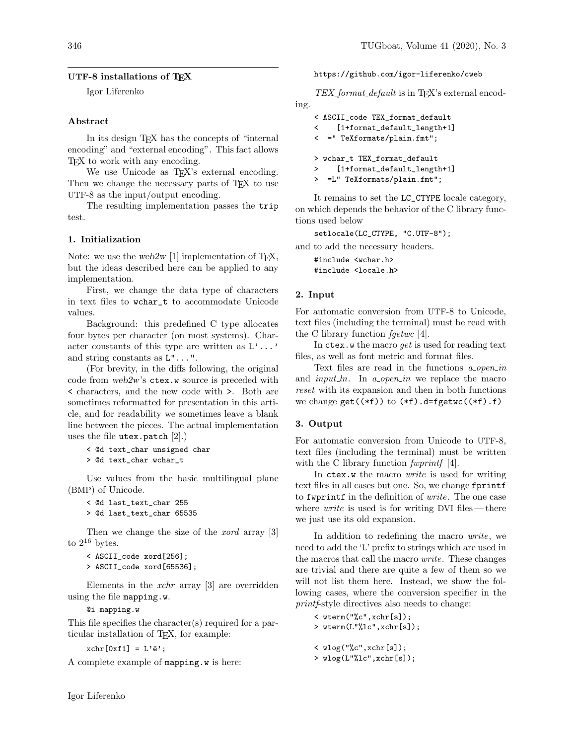# UTF-8 installations of TEX

Igor Liferenko

## Abstract

In its design T<sub>EX</sub> has the concepts of "internal" encoding" and "external encoding". This fact allows T<sub>F</sub>X to work with any encoding.

We use Unicode as T<sub>F</sub>X's external encoding. Then we change the necessary parts of TFX to use UTF-8 as the input/output encoding.

The resulting implementation passes the trip test.

## 1. Initialization

Note: we use the web2w [1] implementation of T<sub>E</sub>X, but the ideas described here can be applied to any implementation.

First, we change the data type of characters in text files to wchar\_t to accommodate Unicode values.

Background: this predefined C type allocates four bytes per character (on most systems). Character constants of this type are written as L'...' and string constants as L"...".

(For brevity, in the diffs following, the original code from web2w's ctex.w source is preceded with < characters, and the new code with >. Both are sometimes reformatted for presentation in this article, and for readability we sometimes leave a blank line between the pieces. The actual implementation uses the file utex.patch [2].)

```
< @d text_char unsigned char
> @d text_char wchar_t
```
Use values from the basic multilingual plane (BMP) of Unicode.

```
< @d last_text_char 255
> @d last_text_char 65535
```
Then we change the size of the *xord* array [3] to  $2^{16}$  bytes.

```
< ASCII_code xord[256];
> ASCII_code xord[65536];
```
Elements in the  $xchr$  array [3] are overridden using the file mapping.w.

@i mapping.w

This file specifies the character(s) required for a particular installation of TEX, for example:

 $xchr[0xf1] = L'ë';$ 

A complete example of mapping.w is here:

https://github.com/igor-liferenko/cweb

 $TEX_{\text{-}}format_{\text{-}}default$  is in T<sub>E</sub>X's external encoding.

```
< ASCII_code TEX_format_default
< [1+format_default_length+1]
< =" TeXformats/plain.fmt";
> wchar_t TEX_format_default
> [1+format_default_length+1]
> =L" TeXformats/plain.fmt";
```
It remains to set the LC\_CTYPE locale category, on which depends the behavior of the C library functions used below

setlocale(LC\_CTYPE, "C.UTF-8");

and to add the necessary headers.

#include <wchar.h> #include <locale.h>

## 2. Input

For automatic conversion from UTF-8 to Unicode, text files (including the terminal) must be read with the C library function  $fgetwc$  [4].

In ctex.w the macro *get* is used for reading text files, as well as font metric and format files.

Text files are read in the functions  $a_{\text{}}.open\_in$ and  $input\_ln$ . In  $a\_open\_in$  we replace the macro reset with its expansion and then in both functions we change  $get((*f))$  to  $(*f)$ .d=fgetwc $((*f).f)$ 

### 3. Output

For automatic conversion from Unicode to UTF-8, text files (including the terminal) must be written with the C library function *fwprintf* [4].

In ctex.w the macro write is used for writing text files in all cases but one. So, we change fprintf to fwprintf in the definition of write. The one case where *write* is used is for writing DVI files — there we just use its old expansion.

In addition to redefining the macro write, we need to add the 'L' prefix to strings which are used in the macros that call the macro write. These changes are trivial and there are quite a few of them so we will not list them here. Instead, we show the following cases, where the conversion specifier in the printf-style directives also needs to change:

```
< wterm("%c",xchr[s]);
> wterm(L"%lc",xchr[s]);
< wlog("%c",xchr[s]);
```

```
> wlog(L"%lc",xchr[s]);
```